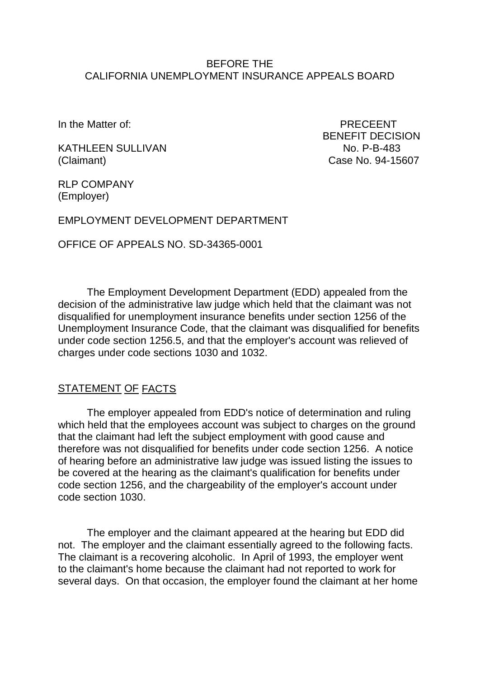#### BEFORE THE CALIFORNIA UNEMPLOYMENT INSURANCE APPEALS BOARD

In the Matter of: PRECEENT

KATHLEEN SULLIVAN NO. P-B-483 (Claimant) Case No. 94-15607

BENEFIT DECISION

RLP COMPANY (Employer)

EMPLOYMENT DEVELOPMENT DEPARTMENT

OFFICE OF APPEALS NO. SD-34365-0001

The Employment Development Department (EDD) appealed from the decision of the administrative law judge which held that the claimant was not disqualified for unemployment insurance benefits under section 1256 of the Unemployment Insurance Code, that the claimant was disqualified for benefits under code section 1256.5, and that the employer's account was relieved of charges under code sections 1030 and 1032.

#### STATEMENT OF FACTS

The employer appealed from EDD's notice of determination and ruling which held that the employees account was subject to charges on the ground that the claimant had left the subject employment with good cause and therefore was not disqualified for benefits under code section 1256. A notice of hearing before an administrative law judge was issued listing the issues to be covered at the hearing as the claimant's qualification for benefits under code section 1256, and the chargeability of the employer's account under code section 1030.

The employer and the claimant appeared at the hearing but EDD did not. The employer and the claimant essentially agreed to the following facts. The claimant is a recovering alcoholic. In April of 1993, the employer went to the claimant's home because the claimant had not reported to work for several days. On that occasion, the employer found the claimant at her home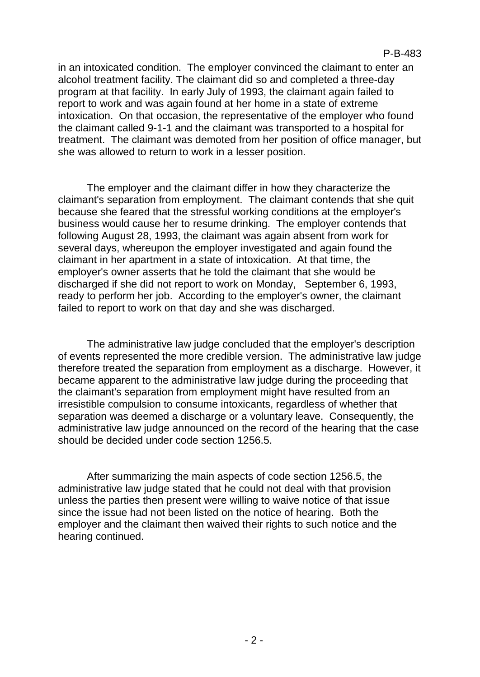in an intoxicated condition. The employer convinced the claimant to enter an alcohol treatment facility. The claimant did so and completed a three-day program at that facility. In early July of 1993, the claimant again failed to report to work and was again found at her home in a state of extreme intoxication. On that occasion, the representative of the employer who found the claimant called 9-1-1 and the claimant was transported to a hospital for treatment. The claimant was demoted from her position of office manager, but she was allowed to return to work in a lesser position.

The employer and the claimant differ in how they characterize the claimant's separation from employment. The claimant contends that she quit because she feared that the stressful working conditions at the employer's business would cause her to resume drinking. The employer contends that following August 28, 1993, the claimant was again absent from work for several days, whereupon the employer investigated and again found the claimant in her apartment in a state of intoxication. At that time, the employer's owner asserts that he told the claimant that she would be discharged if she did not report to work on Monday, September 6, 1993, ready to perform her job. According to the employer's owner, the claimant failed to report to work on that day and she was discharged.

The administrative law judge concluded that the employer's description of events represented the more credible version. The administrative law judge therefore treated the separation from employment as a discharge. However, it became apparent to the administrative law judge during the proceeding that the claimant's separation from employment might have resulted from an irresistible compulsion to consume intoxicants, regardless of whether that separation was deemed a discharge or a voluntary leave. Consequently, the administrative law judge announced on the record of the hearing that the case should be decided under code section 1256.5.

After summarizing the main aspects of code section 1256.5, the administrative law judge stated that he could not deal with that provision unless the parties then present were willing to waive notice of that issue since the issue had not been listed on the notice of hearing. Both the employer and the claimant then waived their rights to such notice and the hearing continued.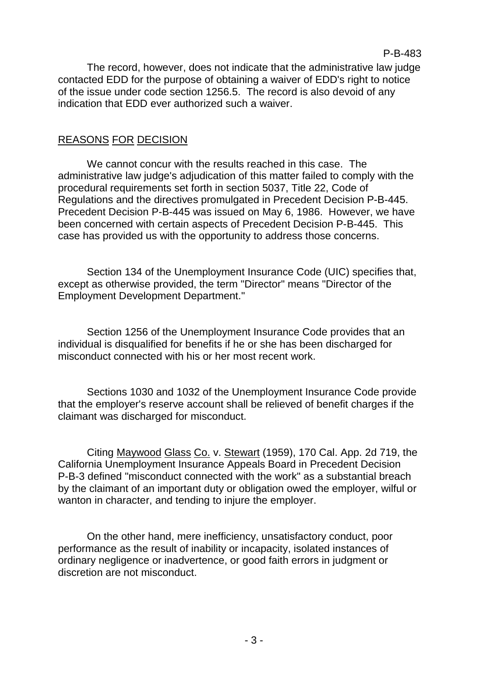The record, however, does not indicate that the administrative law judge contacted EDD for the purpose of obtaining a waiver of EDD's right to notice of the issue under code section 1256.5. The record is also devoid of any indication that EDD ever authorized such a waiver.

## REASONS FOR DECISION

We cannot concur with the results reached in this case. The administrative law judge's adjudication of this matter failed to comply with the procedural requirements set forth in section 5037, Title 22, Code of Regulations and the directives promulgated in Precedent Decision P-B-445. Precedent Decision P-B-445 was issued on May 6, 1986. However, we have been concerned with certain aspects of Precedent Decision P-B-445. This case has provided us with the opportunity to address those concerns.

Section 134 of the Unemployment Insurance Code (UIC) specifies that, except as otherwise provided, the term "Director" means "Director of the Employment Development Department."

Section 1256 of the Unemployment Insurance Code provides that an individual is disqualified for benefits if he or she has been discharged for misconduct connected with his or her most recent work.

Sections 1030 and 1032 of the Unemployment Insurance Code provide that the employer's reserve account shall be relieved of benefit charges if the claimant was discharged for misconduct.

Citing Maywood Glass Co. v. Stewart (1959), 170 Cal. App. 2d 719, the California Unemployment Insurance Appeals Board in Precedent Decision P-B-3 defined "misconduct connected with the work" as a substantial breach by the claimant of an important duty or obligation owed the employer, wilful or wanton in character, and tending to injure the employer.

On the other hand, mere inefficiency, unsatisfactory conduct, poor performance as the result of inability or incapacity, isolated instances of ordinary negligence or inadvertence, or good faith errors in judgment or discretion are not misconduct.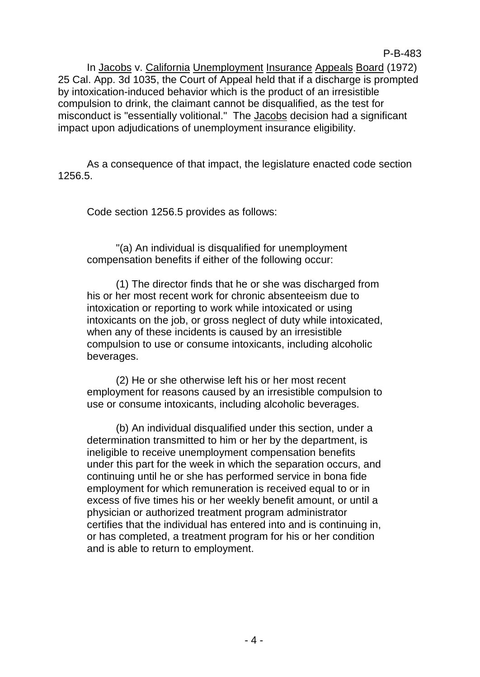In Jacobs v. California Unemployment Insurance Appeals Board (1972) 25 Cal. App. 3d 1035, the Court of Appeal held that if a discharge is prompted by intoxication-induced behavior which is the product of an irresistible compulsion to drink, the claimant cannot be disqualified, as the test for misconduct is "essentially volitional." The Jacobs decision had a significant impact upon adjudications of unemployment insurance eligibility.

As a consequence of that impact, the legislature enacted code section 1256.5.

Code section 1256.5 provides as follows:

"(a) An individual is disqualified for unemployment compensation benefits if either of the following occur:

(1) The director finds that he or she was discharged from his or her most recent work for chronic absenteeism due to intoxication or reporting to work while intoxicated or using intoxicants on the job, or gross neglect of duty while intoxicated, when any of these incidents is caused by an irresistible compulsion to use or consume intoxicants, including alcoholic beverages.

(2) He or she otherwise left his or her most recent employment for reasons caused by an irresistible compulsion to use or consume intoxicants, including alcoholic beverages.

(b) An individual disqualified under this section, under a determination transmitted to him or her by the department, is ineligible to receive unemployment compensation benefits under this part for the week in which the separation occurs, and continuing until he or she has performed service in bona fide employment for which remuneration is received equal to or in excess of five times his or her weekly benefit amount, or until a physician or authorized treatment program administrator certifies that the individual has entered into and is continuing in, or has completed, a treatment program for his or her condition and is able to return to employment.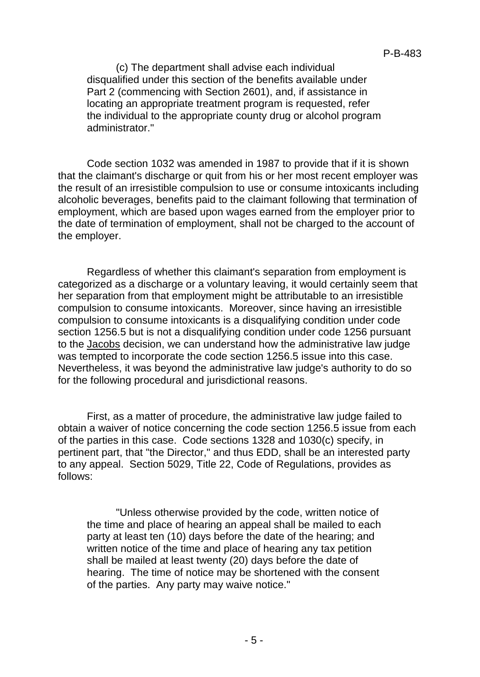(c) The department shall advise each individual disqualified under this section of the benefits available under Part 2 (commencing with Section 2601), and, if assistance in locating an appropriate treatment program is requested, refer the individual to the appropriate county drug or alcohol program administrator."

Code section 1032 was amended in 1987 to provide that if it is shown that the claimant's discharge or quit from his or her most recent employer was the result of an irresistible compulsion to use or consume intoxicants including alcoholic beverages, benefits paid to the claimant following that termination of employment, which are based upon wages earned from the employer prior to the date of termination of employment, shall not be charged to the account of the employer.

Regardless of whether this claimant's separation from employment is categorized as a discharge or a voluntary leaving, it would certainly seem that her separation from that employment might be attributable to an irresistible compulsion to consume intoxicants. Moreover, since having an irresistible compulsion to consume intoxicants is a disqualifying condition under code section 1256.5 but is not a disqualifying condition under code 1256 pursuant to the Jacobs decision, we can understand how the administrative law judge was tempted to incorporate the code section 1256.5 issue into this case. Nevertheless, it was beyond the administrative law judge's authority to do so for the following procedural and jurisdictional reasons.

First, as a matter of procedure, the administrative law judge failed to obtain a waiver of notice concerning the code section 1256.5 issue from each of the parties in this case. Code sections 1328 and 1030(c) specify, in pertinent part, that "the Director," and thus EDD, shall be an interested party to any appeal. Section 5029, Title 22, Code of Regulations, provides as follows:

"Unless otherwise provided by the code, written notice of the time and place of hearing an appeal shall be mailed to each party at least ten (10) days before the date of the hearing; and written notice of the time and place of hearing any tax petition shall be mailed at least twenty (20) days before the date of hearing. The time of notice may be shortened with the consent of the parties. Any party may waive notice."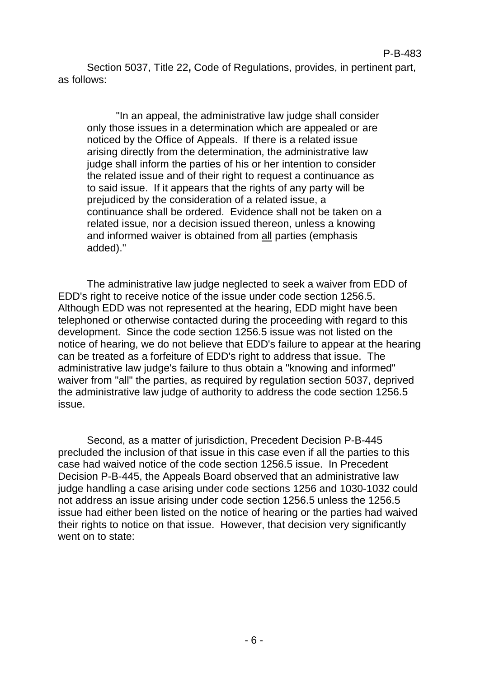Section 5037, Title 22**,** Code of Regulations, provides, in pertinent part, as follows:

"In an appeal, the administrative law judge shall consider only those issues in a determination which are appealed or are noticed by the Office of Appeals. If there is a related issue arising directly from the determination, the administrative law judge shall inform the parties of his or her intention to consider the related issue and of their right to request a continuance as to said issue. If it appears that the rights of any party will be prejudiced by the consideration of a related issue, a continuance shall be ordered. Evidence shall not be taken on a related issue, nor a decision issued thereon, unless a knowing and informed waiver is obtained from all parties (emphasis added)."

The administrative law judge neglected to seek a waiver from EDD of EDD's right to receive notice of the issue under code section 1256.5. Although EDD was not represented at the hearing, EDD might have been telephoned or otherwise contacted during the proceeding with regard to this development. Since the code section 1256.5 issue was not listed on the notice of hearing, we do not believe that EDD's failure to appear at the hearing can be treated as a forfeiture of EDD's right to address that issue. The administrative law judge's failure to thus obtain a "knowing and informed" waiver from "all" the parties, as required by regulation section 5037, deprived the administrative law judge of authority to address the code section 1256.5 issue.

Second, as a matter of jurisdiction, Precedent Decision P-B-445 precluded the inclusion of that issue in this case even if all the parties to this case had waived notice of the code section 1256.5 issue. In Precedent Decision P-B-445, the Appeals Board observed that an administrative law judge handling a case arising under code sections 1256 and 1030-1032 could not address an issue arising under code section 1256.5 unless the 1256.5 issue had either been listed on the notice of hearing or the parties had waived their rights to notice on that issue. However, that decision very significantly went on to state: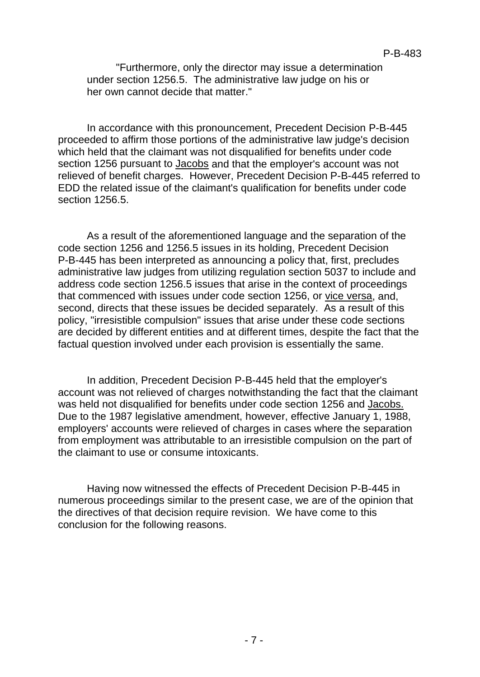"Furthermore, only the director may issue a determination under section 1256.5. The administrative law judge on his or her own cannot decide that matter."

In accordance with this pronouncement, Precedent Decision P-B-445 proceeded to affirm those portions of the administrative law judge's decision which held that the claimant was not disqualified for benefits under code section 1256 pursuant to Jacobs and that the employer's account was not relieved of benefit charges. However, Precedent Decision P-B-445 referred to EDD the related issue of the claimant's qualification for benefits under code section 1256.5.

As a result of the aforementioned language and the separation of the code section 1256 and 1256.5 issues in its holding, Precedent Decision P-B-445 has been interpreted as announcing a policy that, first, precludes administrative law judges from utilizing regulation section 5037 to include and address code section 1256.5 issues that arise in the context of proceedings that commenced with issues under code section 1256, or vice versa, and, second, directs that these issues be decided separately. As a result of this policy, "irresistible compulsion" issues that arise under these code sections are decided by different entities and at different times, despite the fact that the factual question involved under each provision is essentially the same.

In addition, Precedent Decision P-B-445 held that the employer's account was not relieved of charges notwithstanding the fact that the claimant was held not disqualified for benefits under code section 1256 and Jacobs. Due to the 1987 legislative amendment, however, effective January 1, 1988, employers' accounts were relieved of charges in cases where the separation from employment was attributable to an irresistible compulsion on the part of the claimant to use or consume intoxicants.

Having now witnessed the effects of Precedent Decision P-B-445 in numerous proceedings similar to the present case, we are of the opinion that the directives of that decision require revision. We have come to this conclusion for the following reasons.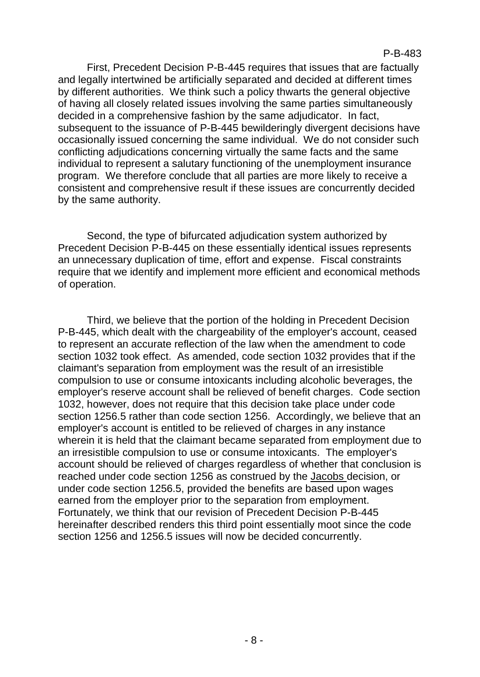First, Precedent Decision P-B-445 requires that issues that are factually and legally intertwined be artificially separated and decided at different times by different authorities. We think such a policy thwarts the general objective of having all closely related issues involving the same parties simultaneously decided in a comprehensive fashion by the same adjudicator. In fact, subsequent to the issuance of P-B-445 bewilderingly divergent decisions have occasionally issued concerning the same individual. We do not consider such conflicting adjudications concerning virtually the same facts and the same individual to represent a salutary functioning of the unemployment insurance program. We therefore conclude that all parties are more likely to receive a consistent and comprehensive result if these issues are concurrently decided by the same authority.

Second, the type of bifurcated adjudication system authorized by Precedent Decision P-B-445 on these essentially identical issues represents an unnecessary duplication of time, effort and expense. Fiscal constraints require that we identify and implement more efficient and economical methods of operation.

Third, we believe that the portion of the holding in Precedent Decision P-B-445, which dealt with the chargeability of the employer's account, ceased to represent an accurate reflection of the law when the amendment to code section 1032 took effect. As amended, code section 1032 provides that if the claimant's separation from employment was the result of an irresistible compulsion to use or consume intoxicants including alcoholic beverages, the employer's reserve account shall be relieved of benefit charges. Code section 1032, however, does not require that this decision take place under code section 1256.5 rather than code section 1256. Accordingly, we believe that an employer's account is entitled to be relieved of charges in any instance wherein it is held that the claimant became separated from employment due to an irresistible compulsion to use or consume intoxicants. The employer's account should be relieved of charges regardless of whether that conclusion is reached under code section 1256 as construed by the Jacobs decision, or under code section 1256.5, provided the benefits are based upon wages earned from the employer prior to the separation from employment. Fortunately, we think that our revision of Precedent Decision P-B-445 hereinafter described renders this third point essentially moot since the code section 1256 and 1256.5 issues will now be decided concurrently.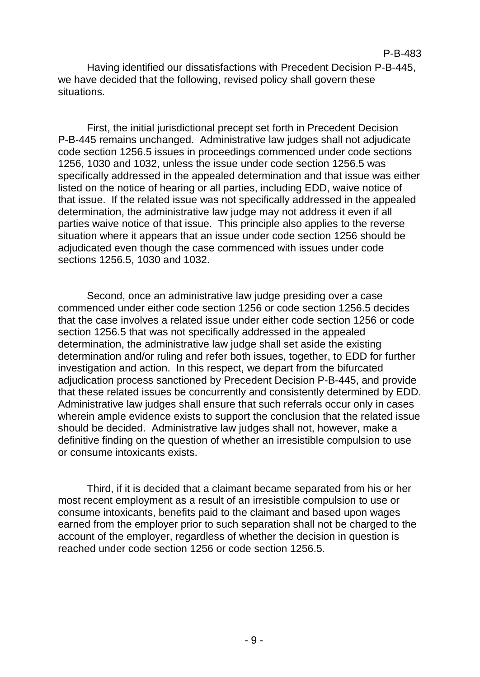Having identified our dissatisfactions with Precedent Decision P-B-445, we have decided that the following, revised policy shall govern these situations.

First, the initial jurisdictional precept set forth in Precedent Decision P-B-445 remains unchanged. Administrative law judges shall not adjudicate code section 1256.5 issues in proceedings commenced under code sections 1256, 1030 and 1032, unless the issue under code section 1256.5 was specifically addressed in the appealed determination and that issue was either listed on the notice of hearing or all parties, including EDD, waive notice of that issue. If the related issue was not specifically addressed in the appealed determination, the administrative law judge may not address it even if all parties waive notice of that issue. This principle also applies to the reverse situation where it appears that an issue under code section 1256 should be adjudicated even though the case commenced with issues under code sections 1256.5, 1030 and 1032.

Second, once an administrative law judge presiding over a case commenced under either code section 1256 or code section 1256.5 decides that the case involves a related issue under either code section 1256 or code section 1256.5 that was not specifically addressed in the appealed determination, the administrative law judge shall set aside the existing determination and/or ruling and refer both issues, together, to EDD for further investigation and action. In this respect, we depart from the bifurcated adjudication process sanctioned by Precedent Decision P-B-445, and provide that these related issues be concurrently and consistently determined by EDD. Administrative law judges shall ensure that such referrals occur only in cases wherein ample evidence exists to support the conclusion that the related issue should be decided. Administrative law judges shall not, however, make a definitive finding on the question of whether an irresistible compulsion to use or consume intoxicants exists.

Third, if it is decided that a claimant became separated from his or her most recent employment as a result of an irresistible compulsion to use or consume intoxicants, benefits paid to the claimant and based upon wages earned from the employer prior to such separation shall not be charged to the account of the employer, regardless of whether the decision in question is reached under code section 1256 or code section 1256.5.